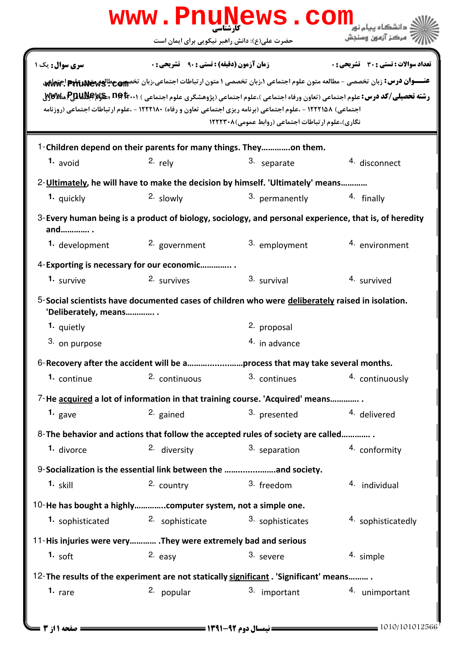|                                            | www.PnuNews.com                                                                                                                                                                                         |                                                         |                                                                                                                                                                                                                                                                                              |
|--------------------------------------------|---------------------------------------------------------------------------------------------------------------------------------------------------------------------------------------------------------|---------------------------------------------------------|----------------------------------------------------------------------------------------------------------------------------------------------------------------------------------------------------------------------------------------------------------------------------------------------|
|                                            | حضرت علی(ع): دانش راهبر نیکویی برای ایمان است                                                                                                                                                           |                                                         | مركز آزمون وسنجش                                                                                                                                                                                                                                                                             |
| سری سوال: یک ۱                             | <b>زمان آزمون (دقیقه) : تستی : 90 ٪ تشریحی : 0</b><br>اجتماعی) ۱۲۲۲۱۵۸ - ،علوم اجتماعی (برنامه ریزی اجتماعی تعاون و رفاه) ۱۲۲۲۱۸۰ - ،علوم ارتباطات اجتماعی (روزنامه                                     | نگاری)،علوم ارتباطات اجتماعی (روابط عمومی)۱۲۲۲۳۰۸       | تعداد سوالات : تستي : 30 ٪ تشريحي : 0<br>عنـــوان درس: زبان تخصصی - مطالعه متون علوم اجتماعی ۱،زبان تخصصی ۱ متون ارتباطات اجتماعی،زبان تخصص عطالعه علیه علیه علیه اجتماعی<br>رشته تحصیلی/کد درس: علوم اجتماعی (تعاون ورفاه اجتماعی )،علوم اجتماعی (پژوهشگری علوم اجتماعی ) 23410 PBUNG وVØV& |
| 1. avoid                                   | 1-Children depend on their parents for many things. Theyon them.<br>2. rely                                                                                                                             | 3. separate                                             | 4. disconnect                                                                                                                                                                                                                                                                                |
| 1. quickly                                 | 2-Ultimately, he will have to make the decision by himself. 'Ultimately' means<br>2. slowly<br>$3$ -Every human being is a product of biology, sociology, and personal experience, that is, of heredity | 3. permanently                                          | 4. finally                                                                                                                                                                                                                                                                                   |
| and .<br>1. development                    | 2. government<br>4-Exporting is necessary for our economic                                                                                                                                              | 3. employment                                           | 4. environment                                                                                                                                                                                                                                                                               |
| 1. survive<br>'Deliberately, means         | 2. survives<br>5-Social scientists have documented cases of children who were <b>deliberately</b> raised in isolation.                                                                                  | 3. survival                                             | 4. survived                                                                                                                                                                                                                                                                                  |
| 1. quietly<br>3. on purpose<br>1. continue | 6-Recovery after the accident will be aprocess that may take several months.<br>2. continuous                                                                                                           | 2. proposal<br><sup>4.</sup> in advance<br>3. continues | 4. continuously                                                                                                                                                                                                                                                                              |
| 1. gave                                    | 7-He acquired a lot of information in that training course. 'Acquired' means<br>2. gained                                                                                                               | 3. presented                                            | 4. delivered                                                                                                                                                                                                                                                                                 |
| 1. divorce<br>$1.$ skill                   | 8- The behavior and actions that follow the accepted rules of society are called<br>2. diversity<br>9-Socialization is the essential link between the and society.<br>2. country                        | 3. separation<br>3. freedom                             | 4. conformity<br>4. individual                                                                                                                                                                                                                                                               |
| 1. sophisticated                           | 10-He has bought a highlycomputer system, not a simple one.<br>2. sophisticate                                                                                                                          | 3. sophisticates                                        | 4. sophisticatedly                                                                                                                                                                                                                                                                           |
| 1. soft                                    | 11-His injuries were very . They were extremely bad and serious<br>2. easy<br>12-The results of the experiment are not statically significant. 'Significant' means                                      | 3. severe                                               | 4. simple                                                                                                                                                                                                                                                                                    |
| 1. $rare$                                  | 2. popular                                                                                                                                                                                              | 3. important                                            | 4. unimportant                                                                                                                                                                                                                                                                               |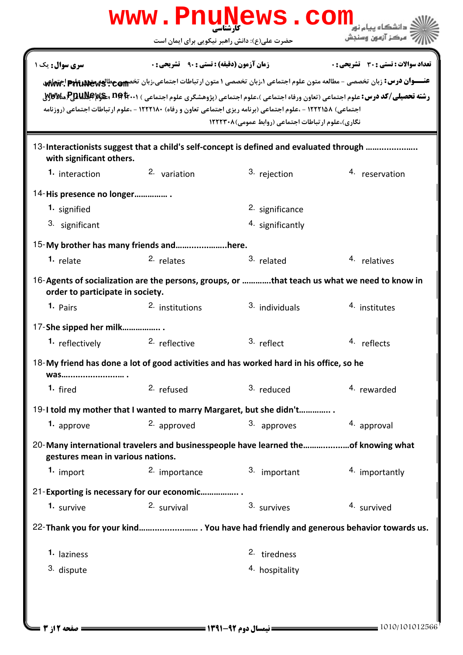|                                   | www.PnuNews.com                                                                                               |                                                   |                                                                                                                                                                                                                                                                        |
|-----------------------------------|---------------------------------------------------------------------------------------------------------------|---------------------------------------------------|------------------------------------------------------------------------------------------------------------------------------------------------------------------------------------------------------------------------------------------------------------------------|
|                                   | حضرت علی(ع): دانش راهبر نیکویی برای ایمان است                                                                 |                                                   |                                                                                                                                                                                                                                                                        |
| <b>سری سوال :</b> یک ۱            | <b>زمان آزمون (دقیقه) : تستی : 90 ٪ تشریحی : 0</b>                                                            |                                                   | تعداد سوالات : تستي : 30 ٪ تشريحي : 0                                                                                                                                                                                                                                  |
|                                   | اجتماعی) ۱۲۲۲۱۵۸ - ،علوم اجتماعی (برنامه ریزی اجتماعی تعاون و رفاه) ۱۲۲۲۱۸۰ - ،علوم ارتباطات اجتماعی (روزنامه | نگاری)،علوم ارتباطات اجتماعی (روابط عمومی)۱۲۲۲۳۰۸ | عنـــوان درس: زبان تخصصی - مطالعه متون علوم اجتماعی ۱،زبان تخصصی ۱ متون ارتباطات اجتماعی،زبان تخصصی عطالعه علیه علیه علیه ایج تهایه<br><b>رشته تحصیلی/کد درس:</b> علوم اجتماعی (تعاون ورفاه اجتماعی )،علوم اجتماعی (پژوهشگری علوم اجتماعی ) <b>۱۰۰BBAWA و PauNews.</b> |
| with significant others.          | 13-Interactionists suggest that a child's self-concept is defined and evaluated through                       |                                                   |                                                                                                                                                                                                                                                                        |
| 1. interaction                    | 2. variation                                                                                                  | 3. rejection                                      | 4. reservation                                                                                                                                                                                                                                                         |
| 14-His presence no longer         |                                                                                                               |                                                   |                                                                                                                                                                                                                                                                        |
| 1. signified                      |                                                                                                               | 2. significance                                   |                                                                                                                                                                                                                                                                        |
| 3. significant                    |                                                                                                               | 4. significantly                                  |                                                                                                                                                                                                                                                                        |
|                                   | 15-My brother has many friends andhere.                                                                       |                                                   |                                                                                                                                                                                                                                                                        |
| 1. relate                         | 2. relates                                                                                                    | 3. related                                        | 4. relatives                                                                                                                                                                                                                                                           |
| order to participate in society.  | 16-Agents of socialization are the persons, groups, or that teach us what we need to know in                  |                                                   |                                                                                                                                                                                                                                                                        |
| 1. Pairs                          | 2. institutions                                                                                               | 3. individuals                                    | 4. institutes                                                                                                                                                                                                                                                          |
| 17-She sipped her milk            |                                                                                                               |                                                   |                                                                                                                                                                                                                                                                        |
| <sup>1</sup> reflectively         | <sup>2.</sup> reflective                                                                                      | 3. reflect                                        | 4. reflects                                                                                                                                                                                                                                                            |
| was                               | 18-My friend has done a lot of good activities and has worked hard in his office, so he                       |                                                   |                                                                                                                                                                                                                                                                        |
| <sup>1.</sup> fired               | 2. refused                                                                                                    | 3. reduced                                        | 4. rewarded                                                                                                                                                                                                                                                            |
|                                   | 19-I told my mother that I wanted to marry Margaret, but she didn't                                           |                                                   |                                                                                                                                                                                                                                                                        |
| 1. approve                        | 2. approved                                                                                                   | 3. approves                                       | 4. approval                                                                                                                                                                                                                                                            |
| gestures mean in various nations. | 20-Many international travelers and businesspeople have learned theof knowing what                            |                                                   |                                                                                                                                                                                                                                                                        |
| 1. import                         | 2. importance                                                                                                 | 3. important                                      | 4. importantly                                                                                                                                                                                                                                                         |
|                                   | 21-Exporting is necessary for our economic                                                                    |                                                   |                                                                                                                                                                                                                                                                        |
| 1. survive                        | 2. survival                                                                                                   | 3. survives                                       | 4. survived                                                                                                                                                                                                                                                            |
|                                   |                                                                                                               |                                                   | 22-Thank you for your kind You have had friendly and generous behavior towards us.                                                                                                                                                                                     |
| 1. laziness                       |                                                                                                               | 2. tiredness                                      |                                                                                                                                                                                                                                                                        |
| 3. dispute                        |                                                                                                               | 4. hospitality                                    |                                                                                                                                                                                                                                                                        |
|                                   |                                                                                                               |                                                   |                                                                                                                                                                                                                                                                        |